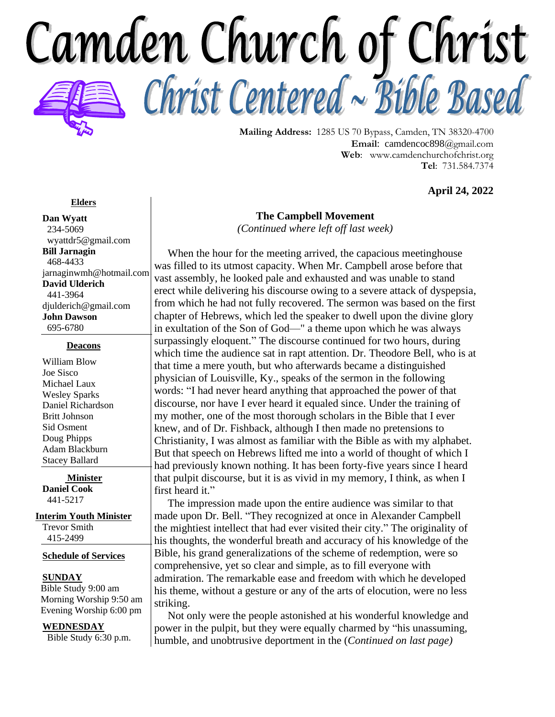

**Mailing Address:** 1285 US 70 Bypass, Camden, TN 38320-4700 **Email**: camdencoc898@gmail.com **Web**: [www.camdenchurchofchrist.org](http://www.camdencoc.com/) **Tel**: 731.584.7374

**April 24, 2022**

#### **Elders**

**Dan Wyatt** 234-5069 wyattdr5@gmail.com **Bill Jarnagin** 468-4433 jarnaginwmh@hotmail.com **David Ulderich** 441-3964 [djulderich@gmail.com](mailto:djulderich@gmail.com) **John Dawson** 695-6780

#### **Deacons**

William Blow Joe Sisco Michael Laux Wesley Sparks Daniel Richardson Britt Johnson Sid Osment Doug Phipps Adam Blackburn Stacey Ballard

**Minister Daniel Cook** 441-5217

**Interim Youth Minister** Trevor Smith

415-2499

**Schedule of Services**

#### **SUNDAY**

 Bible Study 9:00 am Morning Worship 9:50 am Evening Worship 6:00 pm

#### **WEDNESDAY**

Bible Study 6:30 p.m.

## **The Campbell Movement** *(Continued where left off last week)*

 When the hour for the meeting arrived, the capacious meetinghouse was filled to its utmost capacity. When Mr. Campbell arose before that vast assembly, he looked pale and exhausted and was unable to stand erect while delivering his discourse owing to a severe attack of dyspepsia, from which he had not fully recovered. The sermon was based on the first chapter of Hebrews, which led the speaker to dwell upon the divine glory in exultation of the Son of God—" a theme upon which he was always surpassingly eloquent." The discourse continued for two hours, during which time the audience sat in rapt attention. Dr. Theodore Bell, who is at that time a mere youth, but who afterwards became a distinguished physician of Louisville, Ky., speaks of the sermon in the following words: "I had never heard anything that approached the power of that discourse, nor have I ever heard it equaled since. Under the training of my mother, one of the most thorough scholars in the Bible that I ever knew, and of Dr. Fishback, although I then made no pretensions to Christianity, I was almost as familiar with the Bible as with my alphabet. But that speech on Hebrews lifted me into a world of thought of which I had previously known nothing. It has been forty-five years since I heard that pulpit discourse, but it is as vivid in my memory, I think, as when I first heard it."

 The impression made upon the entire audience was similar to that made upon Dr. Bell. "They recognized at once in Alexander Campbell the mightiest intellect that had ever visited their city." The originality of his thoughts, the wonderful breath and accuracy of his knowledge of the Bible, his grand generalizations of the scheme of redemption, were so comprehensive, yet so clear and simple, as to fill everyone with admiration. The remarkable ease and freedom with which he developed his theme, without a gesture or any of the arts of elocution, were no less striking.

 Not only were the people astonished at his wonderful knowledge and power in the pulpit, but they were equally charmed by "his unassuming, humble, and unobtrusive deportment in the (*Continued on last page)*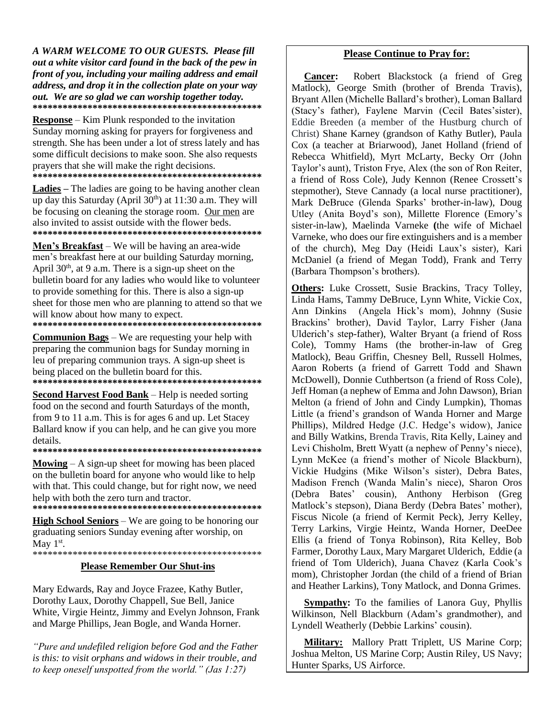A WARM WELCOME TO OUR GUESTS. Please fill out a white visitor card found in the back of the pew in front of you, including your mailing address and email address, and drop it in the collection plate on your way out. We are so glad we can worship together today. 

 $$ Sunday morning asking for prayers for forgiveness and strength. She has been under a lot of stress lately and has some difficult decisions to make soon. She also requests prayers that she will make the right decisions. 

**Ladies** – The ladies are going to be having another clean up day this Saturday (April 30<sup>th</sup>) at 11:30 a.m. They will be focusing on cleaning the storage room. Our men are also invited to assist outside with the flower beds. 

Men's Breakfast – We will be having an area-wide men's breakfast here at our building Saturday morning, April 30<sup>th</sup>, at 9 a.m. There is a sign-up sheet on the bulletin board for any ladies who would like to volunteer to provide something for this. There is also a sign-up sheet for those men who are planning to attend so that we will know about how many to expect. 

**Communion Bags** – We are requesting your help with preparing the communion bags for Sunday morning in leu of preparing communion trays. A sign-up sheet is being placed on the bulletin board for this. 

**Second Harvest Food Bank** – Help is needed sorting food on the second and fourth Saturdays of the month, from 9 to 11 a.m. This is for ages 6 and up. Let Stacey Ballard know if you can help, and he can give you more details.

**Mowing**  $- A$  sign-up sheet for mowing has been placed on the bulletin board for anyone who would like to help with that. This could change, but for right now, we need help with both the zero turn and tractor. 

**High School Seniors** – We are going to be honoring our graduating seniors Sunday evening after worship, on May  $1<sup>st</sup>$ .

#### **Please Remember Our Shut-ins**

Mary Edwards, Ray and Joyce Frazee, Kathy Butler, Dorothy Laux, Dorothy Chappell, Sue Bell, Janice White, Virgie Heintz, Jimmy and Evelyn Johnson, Frank and Marge Phillips, Jean Bogle, and Wanda Horner.

"Pure and undefiled religion before God and the Father is this: to visit orphans and widows in their trouble, and to keep oneself unspotted from the world." (Jas 1:27)

#### **Please Continue to Pray for:**

Robert Blackstock (a friend of Greg **Cancer:** Matlock), George Smith (brother of Brenda Travis), Bryant Allen (Michelle Ballard's brother), Loman Ballard (Stacy's father), Faylene Marvin (Cecil Bates'sister), Eddie Breeden (a member of the Hustburg church of Christ) Shane Karney (grandson of Kathy Butler), Paula Cox (a teacher at Briarwood), Janet Holland (friend of Rebecca Whitfield), Myrt McLarty, Becky Orr (John Taylor's aunt), Triston Frye, Alex (the son of Ron Reiter, a friend of Ross Cole), Judy Kennon (Renee Crossett's stepmother). Steve Cannady (a local nurse practitioner). Mark DeBruce (Glenda Sparks' brother-in-law), Doug Utley (Anita Boyd's son), Millette Florence (Emory's sister-in-law), Maelinda Varneke (the wife of Michael Varneke, who does our fire extinguishers and is a member of the church), Meg Day (Heidi Laux's sister), Kari McDaniel (a friend of Megan Todd), Frank and Terry (Barbara Thompson's brothers).

Others: Luke Crossett, Susie Brackins, Tracy Tolley, Linda Hams, Tammy DeBruce, Lynn White, Vickie Cox, Ann Dinkins (Angela Hick's mom), Johnny (Susie Brackins' brother), David Taylor, Larry Fisher (Jana Ulderich's step-father), Walter Bryant (a friend of Ross Cole), Tommy Hams (the brother-in-law of Greg Matlock), Beau Griffin, Chesney Bell, Russell Holmes, Aaron Roberts (a friend of Garrett Todd and Shawn McDowell), Donnie Cuthbertson (a friend of Ross Cole). Jeff Homan (a nephew of Emma and John Dawson), Brian Melton (a friend of John and Cindy Lumpkin), Thomas Little (a friend's grandson of Wanda Horner and Marge Phillips), Mildred Hedge (J.C. Hedge's widow), Janice and Billy Watkins, Brenda Travis, Rita Kelly, Lainey and Levi Chisholm, Brett Wyatt (a nephew of Penny's niece), Lynn McKee (a friend's mother of Nicole Blackburn), Vickie Hudgins (Mike Wilson's sister). Debra Bates, Madison French (Wanda Malin's niece), Sharon Oros (Debra Bates' cousin), Anthony Herbison (Greg Matlock's stepson), Diana Berdy (Debra Bates' mother), Fiscus Nicole (a friend of Kermit Peck), Jerry Kelley, Terry Larkins, Virgie Heintz, Wanda Horner, DeeDee Ellis (a friend of Tonya Robinson), Rita Kelley, Bob Farmer, Dorothy Laux, Mary Margaret Ulderich, Eddie (a friend of Tom Ulderich), Juana Chavez (Karla Cook's mom), Christopher Jordan (the child of a friend of Brian and Heather Larkins), Tony Matlock, and Donna Grimes.

Sympathy: To the families of Lanora Guy, Phyllis Wilkinson, Nell Blackburn (Adam's grandmother), and Lyndell Weatherly (Debbie Larkins' cousin).

Military: Mallory Pratt Triplett, US Marine Corp; Joshua Melton, US Marine Corp; Austin Riley, US Navy; Hunter Sparks, US Airforce.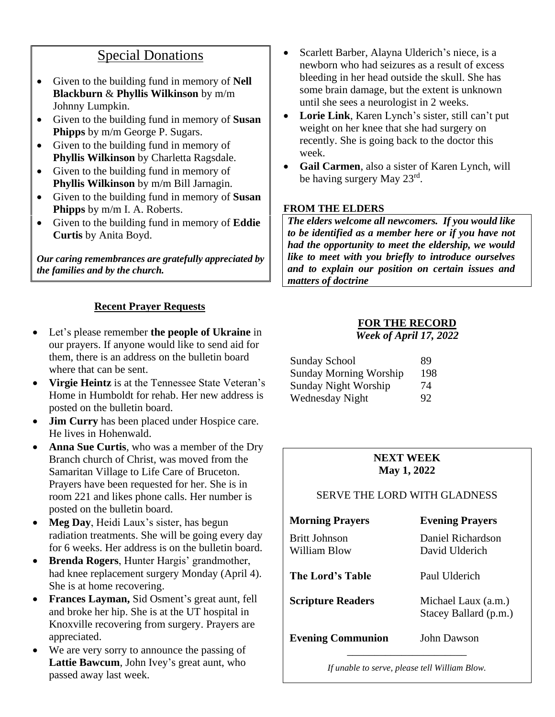# Special Donations

- Given to the building fund in memory of **Nell Blackburn** & **Phyllis Wilkinson** by m/m Johnny Lumpkin.
- Given to the building fund in memory of **Susan Phipps** by m/m George P. Sugars.
- Given to the building fund in memory of **Phyllis Wilkinson** by Charletta Ragsdale.
- Given to the building fund in memory of **Phyllis Wilkinson** by m/m Bill Jarnagin.
- Given to the building fund in memory of **Susan Phipps** by m/m I. A. Roberts.
- Given to the building fund in memory of **Eddie Curtis** by Anita Boyd.

*Our caring remembrances are gratefully appreciated by the families and by the church.*

# **Recent Prayer Requests**

- Let's please remember **the people of Ukraine** in our prayers. If anyone would like to send aid for them, there is an address on the bulletin board where that can be sent.
- **Virgie Heintz** is at the Tennessee State Veteran's Home in Humboldt for rehab. Her new address is posted on the bulletin board.
- **Jim Curry** has been placed under Hospice care. He lives in Hohenwald.
- **Anna Sue Curtis**, who was a member of the Dry Branch church of Christ, was moved from the Samaritan Village to Life Care of Bruceton. Prayers have been requested for her. She is in room 221 and likes phone calls. Her number is posted on the bulletin board.
- **Meg Day**, Heidi Laux's sister, has begun radiation treatments. She will be going every day for 6 weeks. Her address is on the bulletin board.
- **Brenda Rogers**, Hunter Hargis' grandmother, had knee replacement surgery Monday (April 4). She is at home recovering.
- **Frances Layman,** Sid Osment's great aunt, fell and broke her hip. She is at the UT hospital in Knoxville recovering from surgery. Prayers are appreciated.
- We are very sorry to announce the passing of **Lattie Bawcum**, John Ivey's great aunt, who passed away last week.
- Scarlett Barber, Alayna Ulderich's niece, is a newborn who had seizures as a result of excess bleeding in her head outside the skull. She has some brain damage, but the extent is unknown until she sees a neurologist in 2 weeks.
- **Lorie Link**, Karen Lynch's sister, still can't put weight on her knee that she had surgery on recently. She is going back to the doctor this week.
- **Gail Carmen**, also a sister of Karen Lynch, will be having surgery May 23rd.

## **FROM THE ELDERS**

*The elders welcome all newcomers. If you would like to be identified as a member here or if you have not had the opportunity to meet the eldership, we would like to meet with you briefly to introduce ourselves and to explain our position on certain issues and matters of doctrine*

## **FOR THE RECORD**

*Week of April 17, 2022*

| <b>Sunday School</b>          | 89  |
|-------------------------------|-----|
| <b>Sunday Morning Worship</b> | 198 |
| <b>Sunday Night Worship</b>   | 74  |
| Wednesday Night               | 92  |

# **NEXT WEEK May 1, 2022**

# SERVE THE LORD WITH GLADNESS

| <b>Morning Prayers</b>               | <b>Evening Prayers</b>                       |
|--------------------------------------|----------------------------------------------|
| <b>Britt Johnson</b><br>William Blow | Daniel Richardson<br>David Ulderich          |
| The Lord's Table                     | Paul Ulderich                                |
| <b>Scripture Readers</b>             | Michael Laux (a.m.)<br>Stacey Ballard (p.m.) |
| <b>Evening Communion</b>             | John Dawson                                  |

*If unable to serve, please tell William Blow.*